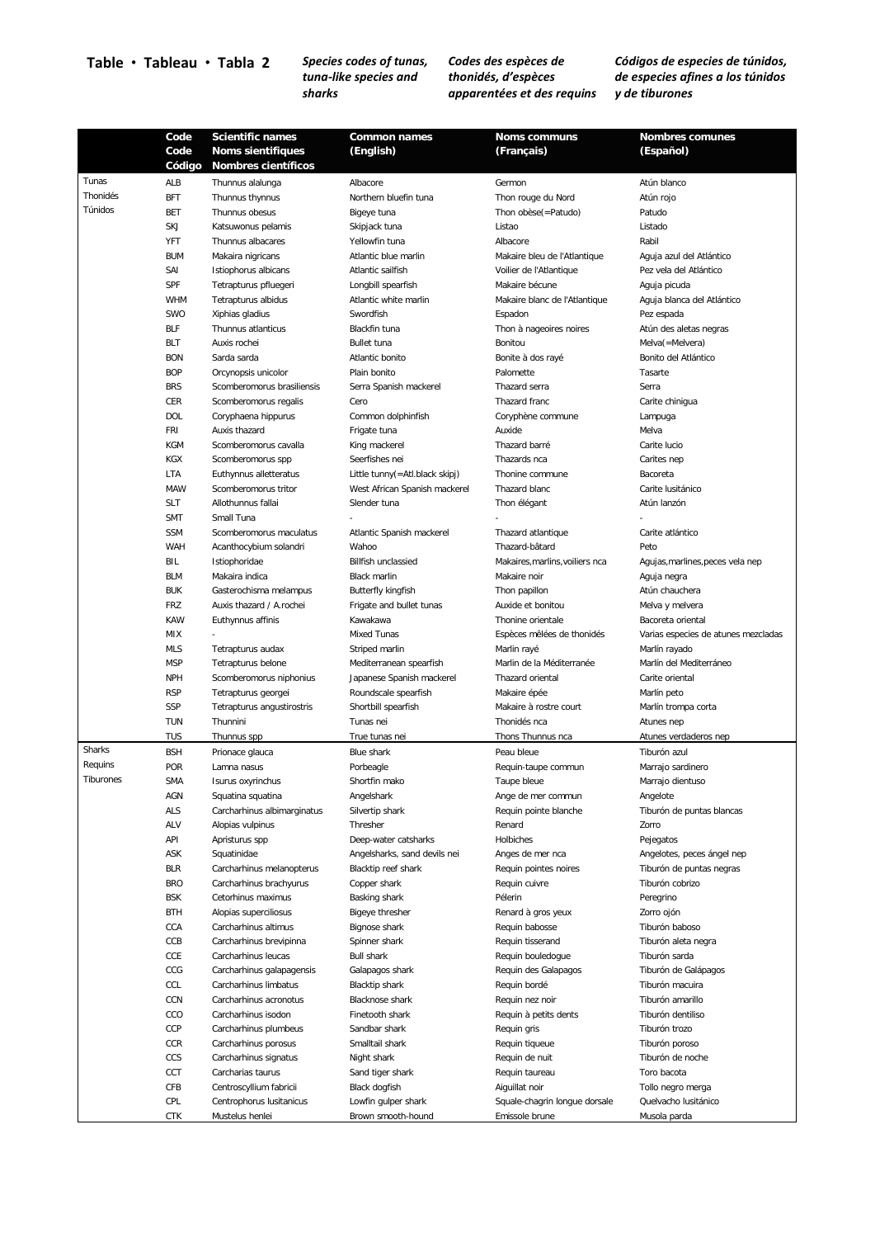## **Table Tableau Tabla 2** *Species codes of tunas,*

*tuna-like species and sharks*

*Codes des espèces de thonidés, d'espèces apparentées et des requins*

*Códigos de especies de túnidos, de especies afines a los túnidos y de tiburones*

|           | Code       | <b>Scientific names</b>     | <b>Common names</b>            | <b>Noms communs</b>             | <b>Nombres comunes</b>              |
|-----------|------------|-----------------------------|--------------------------------|---------------------------------|-------------------------------------|
|           | Code       | <b>Noms sientifiques</b>    | (English)                      | (Français)                      | (Español)                           |
|           | Código     | <b>Nombres científicos</b>  |                                |                                 |                                     |
| Tunas     | ALB        | Thunnus alalunga            | Albacore                       | Germon                          | Atún blanco                         |
| Thonidés  | <b>BFT</b> | Thunnus thynnus             | Northern bluefin tuna          | Thon rouge du Nord              | Atún rojo                           |
| Túnidos   | <b>BET</b> | Thunnus obesus              | Bigeye tuna                    | Thon obèse(=Patudo)             | Patudo                              |
|           | SKJ        | Katsuwonus pelamis          | Skipjack tuna                  | Listao                          | Listado                             |
|           | YFT        | Thunnus albacares           | Yellowfin tuna                 | Albacore                        | Rabil                               |
|           | <b>BUM</b> | Makaira nigricans           | Atlantic blue marlin           | Makaire bleu de l'Atlantique    | Aguja azul del Atlántico            |
|           | SAI        | Istiophorus albicans        | Atlantic sailfish              | Voilier de l'Atlantique         | Pez vela del Atlántico              |
|           | SPF        | Tetrapturus pfluegeri       | Longbill spearfish             | Makaire bécune                  | Aguja picuda                        |
|           | <b>WHM</b> | Tetrapturus albidus         | Atlantic white marlin          | Makaire blanc de l'Atlantique   | Aguja blanca del Atlántico          |
|           | SWO        | Xiphias gladius             | Swordfish                      | Espadon                         | Pez espada                          |
|           | <b>BLF</b> | Thunnus atlanticus          | Blackfin tuna                  | Thon à nageoires noires         | Atún des aletas negras              |
|           | <b>BLT</b> | Auxis rochei                | <b>Bullet tuna</b>             | Bonitou                         | Melva(=Melvera)                     |
|           | <b>BON</b> | Sarda sarda                 | Atlantic bonito                | Bonite à dos rayé               | Bonito del Atlántico                |
|           | <b>BOP</b> | Orcynopsis unicolor         | Plain bonito                   | Palomette                       | Tasarte                             |
|           | <b>BRS</b> | Scomberomorus brasiliensis  | Serra Spanish mackerel         | Thazard serra                   | Serra                               |
|           | CER        | Scomberomorus regalis       | Cero                           | Thazard franc                   | Carite chinigua                     |
|           | <b>DOL</b> | Coryphaena hippurus         | Common dolphinfish             | Coryphène commune               | Lampuga                             |
|           | <b>FRI</b> | Auxis thazard               | Frigate tuna                   | Auxide                          | Melva                               |
|           | <b>KGM</b> | Scomberomorus cavalla       | King mackerel                  | Thazard barré                   | Carite lucio                        |
|           | <b>KGX</b> | Scomberomorus spp           | Seerfishes nei                 | Thazards nca                    | Carites nep                         |
|           | LTA        | Euthynnus alletteratus      | Little tunny(=Atl.black skipj) | Thonine commune                 | Bacoreta                            |
|           | MAW        | Scomberomorus tritor        | West African Spanish mackerel  | Thazard blanc                   | Carite Iusitánico                   |
|           | <b>SLT</b> | Allothunnus fallai          | Slender tuna                   | Thon élégant                    | Atún lanzón                         |
|           | <b>SMT</b> | Small Tuna                  |                                |                                 |                                     |
|           | <b>SSM</b> | Scomberomorus maculatus     | Atlantic Spanish mackerel      | Thazard atlantique              | Carite atlántico                    |
|           | WAH        | Acanthocybium solandri      | Wahoo                          | Thazard-bâtard                  | Peto                                |
|           | BIL        | Istiophoridae               | <b>Billfish unclassied</b>     | Makaires, marlins, voiliers nca | Agujas, marlines, peces vela nep    |
|           | <b>BLM</b> | Makaira indica              | <b>Black marlin</b>            | Makaire noir                    | Aguja negra                         |
|           | <b>BUK</b> | Gasterochisma melampus      | Butterfly kingfish             | Thon papillon                   | Atún chauchera                      |
|           | <b>FRZ</b> | Auxis thazard / A.rochei    | Frigate and bullet tunas       | Auxide et bonitou               | Melva y melvera                     |
|           | <b>KAW</b> | Euthynnus affinis           | Kawakawa                       | Thonine orientale               | Bacoreta oriental                   |
|           | MIX        |                             | Mixed Tunas                    | Espèces mélées de thonidés      | Varias especies de atunes mezcladas |
|           | <b>MLS</b> | Tetrapturus audax           | Striped marlin                 | Marlin rayé                     | Marlín rayado                       |
|           | <b>MSP</b> | Tetrapturus belone          | Mediterranean spearfish        | Marlin de la Méditerranée       | Marlín del Mediterráneo             |
|           | <b>NPH</b> | Scomberomorus niphonius     | Japanese Spanish mackerel      | Thazard oriental                | Carite oriental                     |
|           | <b>RSP</b> | Tetrapturus georgei         | Roundscale spearfish           | Makaire épée                    | Marlín peto                         |
|           | SSP        | Tetrapturus angustirostris  | Shortbill spearfish            | Makaire à rostre court          | Marlín trompa corta                 |
|           | <b>TUN</b> | Thunnini                    | Tunas nei                      | Thonidés nca                    | Atunes nep                          |
|           | TUS        | Thunnus spp                 | True tunas nei                 | Thons Thunnus nca               | Atunes verdaderos nep               |
| Sharks    | <b>BSH</b> | Prionace glauca             | <b>Blue shark</b>              | Peau bleue                      | Tiburón azul                        |
| Requins   | POR        | Lamna nasus                 | Porbeagle                      | Requin-taupe commun             | Marrajo sardinero                   |
| Tiburones | <b>SMA</b> | Isurus oxyrinchus           | Shortfin mako                  | Taupe bleue                     | Marrajo dientuso                    |
|           | AGN        | Squatina squatina           | Angelshark                     | Ange de mer commun              | Angelote                            |
|           | <b>ALS</b> | Carcharhinus albimarginatus | Silvertip shark                | Requin pointe blanche           | Tiburón de puntas blancas           |
|           | ALV        | Alopias vulpinus            | Thresher                       | Renard                          | Zorro                               |
|           | API        | Apristurus spp              | Deep-water catsharks           | Holbiches                       | Pejegatos                           |
|           | ASK        | Squatinidae                 | Angelsharks, sand devils nei   | Anges de mer nca                | Angelotes, peces ángel nep          |
|           | <b>BLR</b> | Carcharhinus melanopterus   | Blacktip reef shark            | Requin pointes noires           | Tiburón de puntas negras            |
|           | <b>BRO</b> | Carcharhinus brachyurus     | Copper shark                   | Requin cuivre                   | Tiburón cobrizo                     |
|           | <b>BSK</b> | Cetorhinus maximus          | Basking shark                  | Pélerin                         | Peregrino                           |
|           | <b>BTH</b> | Alopias superciliosus       | <b>Bigeye thresher</b>         | Renard à gros yeux              | Zorro ojón                          |
|           | CCA        | Carcharhinus altimus        | <b>Bignose shark</b>           | Requin babosse                  | Tiburón baboso                      |
|           | CCB        | Carcharhinus brevipinna     | Spinner shark                  | Requin tisserand                | Tiburón aleta negra                 |
|           | CCE        | Carcharhinus leucas         | <b>Bull shark</b>              | Requin bouledogue               | Tiburón sarda                       |
|           | CCG        | Carcharhinus galapagensis   | Galapagos shark                | Requin des Galapagos            | Tiburón de Galápagos                |
|           | CCL        | Carcharhinus limbatus       | <b>Blacktip shark</b>          | Requin bordé                    | Tiburón macuira                     |
|           | CCN        | Carcharhinus acronotus      | <b>Blacknose shark</b>         | Requin nez noir                 | Tiburón amarillo                    |
|           | CCO        | Carcharhinus isodon         | Finetooth shark                | Requin à petits dents           | Tiburón dentiliso                   |
|           | CCP        | Carcharhinus plumbeus       | Sandbar shark                  | Requin gris                     | Tiburón trozo                       |
|           | CCR        | Carcharhinus porosus        | Smalltail shark                | Requin tiqueue                  | Tiburón poroso                      |
|           | CCS        | Carcharhinus signatus       | Night shark                    | Requin de nuit                  | Tiburón de noche                    |
|           | CCT        | Carcharias taurus           | Sand tiger shark               | Requin taureau                  | Toro bacota                         |
|           | CFB        | Centroscyllium fabricii     | Black dogfish                  | Aiguillat noir                  | Tollo negro merga                   |
|           | CPL        | Centrophorus Iusitanicus    | Lowfin gulper shark            | Squale-chagrin longue dorsale   | Quelvacho lusitánico                |
|           | CTK        | Mustelus henlei             | Brown smooth-hound             | Emissole brune                  | Musola parda                        |